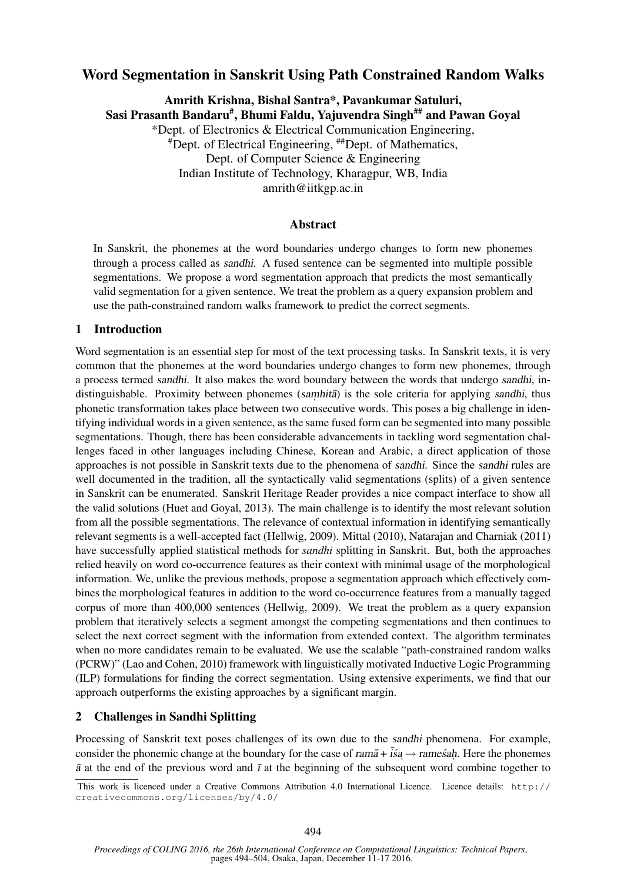# Word Segmentation in Sanskrit Using Path Constrained Random Walks

Amrith Krishna, Bishal Santra\*, Pavankumar Satuluri, Sasi Prasanth Bandaru#, Bhumi Faldu, Yajuvendra Singh## and Pawan Goyal \*Dept. of Electronics & Electrical Communication Engineering, #Dept. of Electrical Engineering, ##Dept. of Mathematics, Dept. of Computer Science & Engineering Indian Institute of Technology, Kharagpur, WB, India amrith@iitkgp.ac.in

### Abstract

In Sanskrit, the phonemes at the word boundaries undergo changes to form new phonemes through a process called as sandhi. A fused sentence can be segmented into multiple possible segmentations. We propose a word segmentation approach that predicts the most semantically valid segmentation for a given sentence. We treat the problem as a query expansion problem and use the path-constrained random walks framework to predict the correct segments.

### 1 Introduction

Word segmentation is an essential step for most of the text processing tasks. In Sanskrit texts, it is very common that the phonemes at the word boundaries undergo changes to form new phonemes, through a process termed sandhi. It also makes the word boundary between the words that undergo sandhi, indistinguishable. Proximity between phonemes (samhita) is the sole criteria for applying sandhi, thus phonetic transformation takes place between two consecutive words. This poses a big challenge in identifying individual words in a given sentence, as the same fused form can be segmented into many possible segmentations. Though, there has been considerable advancements in tackling word segmentation challenges faced in other languages including Chinese, Korean and Arabic, a direct application of those approaches is not possible in Sanskrit texts due to the phenomena of sandhi. Since the sandhi rules are well documented in the tradition, all the syntactically valid segmentations (splits) of a given sentence in Sanskrit can be enumerated. Sanskrit Heritage Reader provides a nice compact interface to show all the valid solutions (Huet and Goyal, 2013). The main challenge is to identify the most relevant solution from all the possible segmentations. The relevance of contextual information in identifying semantically relevant segments is a well-accepted fact (Hellwig, 2009). Mittal (2010), Natarajan and Charniak (2011) have successfully applied statistical methods for *sandhi* splitting in Sanskrit. But, both the approaches relied heavily on word co-occurrence features as their context with minimal usage of the morphological information. We, unlike the previous methods, propose a segmentation approach which effectively combines the morphological features in addition to the word co-occurrence features from a manually tagged corpus of more than 400,000 sentences (Hellwig, 2009). We treat the problem as a query expansion problem that iteratively selects a segment amongst the competing segmentations and then continues to select the next correct segment with the information from extended context. The algorithm terminates when no more candidates remain to be evaluated. We use the scalable "path-constrained random walks (PCRW)" (Lao and Cohen, 2010) framework with linguistically motivated Inductive Logic Programming (ILP) formulations for finding the correct segmentation. Using extensive experiments, we find that our approach outperforms the existing approaches by a significant margin.

### 2 Challenges in Sandhi Splitting

Processing of Sanskrit text poses challenges of its own due to the sandhi phenomena. For example, consider the phonemic change at the boundary for the case of ram $\bar{a}$  +  $\bar{i}\acute{s}a \rightarrow$  ramesah. Here the phonemes  $\bar{a}$  at the end of the previous word and  $\bar{\imath}$  at the beginning of the subsequent word combine together to

This work is licenced under a Creative Commons Attribution 4.0 International Licence. Licence details: http:// creativecommons.org/licenses/by/4.0/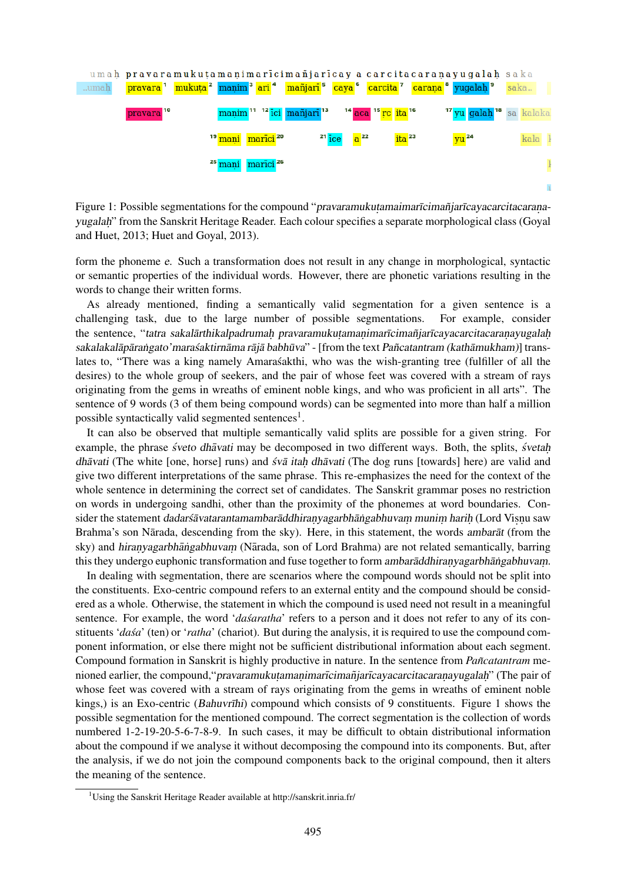

Figure 1: Possible segmentations for the compound "pravaramukuțamaimarīcimañjarīcayacarcitacaraṇayugalah" from the Sanskrit Heritage Reader. Each colour specifies a separate morphological class (Goyal and Huet, 2013; Huet and Goyal, 2013).

form the phoneme e. Such a transformation does not result in any change in morphological, syntactic or semantic properties of the individual words. However, there are phonetic variations resulting in the words to change their written forms.

As already mentioned, finding a semantically valid segmentation for a given sentence is a challenging task, due to the large number of possible segmentations. For example, consider the sentence, "tatra sakalārthikalpadrumaḥ pravaramukuṭamaṇimarīcimañjarīcayacarcitacaraṇayugalaḥ sakalakalāpārangato'mara saktirnāma rājā babhūva" - [from the text Pañcatantram (kathāmukham)] translates to, "There was a king namely Amaras akthi, who was the wish-granting tree (fulfiller of all the desires) to the whole group of seekers, and the pair of whose feet was covered with a stream of rays originating from the gems in wreaths of eminent noble kings, and who was proficient in all arts". The sentence of 9 words (3 of them being compound words) can be segmented into more than half a million possible syntactically valid segmented sentences<sup>1</sup>.

It can also be observed that multiple semantically valid splits are possible for a given string. For example, the phrase *sveto dhāvati* may be decomposed in two different ways. Both, the splits, *svetah* dhāvati (The white [one, horse] runs) and sv $\bar{a}$  itah dhāvati (The dog runs [towards] here) are valid and give two different interpretations of the same phrase. This re-emphasizes the need for the context of the whole sentence in determining the correct set of candidates. The Sanskrit grammar poses no restriction on words in undergoing sandhi, other than the proximity of the phonemes at word boundaries. Consider the statement dadarsavatarantamambaraddhiranyagarbhangabhuvam munim harih (Lord Visnu saw Brahma's son Nārada, descending from the sky). Here, in this statement, the words ambarat (from the sky) and hiranyagarbhāngabhuvam (Nārada, son of Lord Brahma) are not related semantically, barring this they undergo euphonic transformation and fuse together to form ambaraddhiranyagarbhangabhuvam.

In dealing with segmentation, there are scenarios where the compound words should not be split into the constituents. Exo-centric compound refers to an external entity and the compound should be considered as a whole. Otherwise, the statement in which the compound is used need not result in a meaningful sentence. For example, the word '*dasaratha*' refers to a person and it does not refer to any of its constituents '*dasa*' (ten) or '*ratha*' (chariot). But during the analysis, it is required to use the compound component information, or else there might not be sufficient distributional information about each segment. Compound formation in Sanskrit is highly productive in nature. In the sentence from *Pancatantram* menioned earlier, the compound, "pravaramukutamanimarīcimañjarīcayacarcitacaranayugalah" (The pair of whose feet was covered with a stream of rays originating from the gems in wreaths of eminent noble kings,) is an Exo-centric (Bahuvrīhi) compound which consists of 9 constituents. Figure 1 shows the possible segmentation for the mentioned compound. The correct segmentation is the collection of words numbered 1-2-19-20-5-6-7-8-9. In such cases, it may be difficult to obtain distributional information about the compound if we analyse it without decomposing the compound into its components. But, after the analysis, if we do not join the compound components back to the original compound, then it alters the meaning of the sentence.

<sup>&</sup>lt;sup>1</sup>Using the Sanskrit Heritage Reader available at http://sanskrit.inria.fr/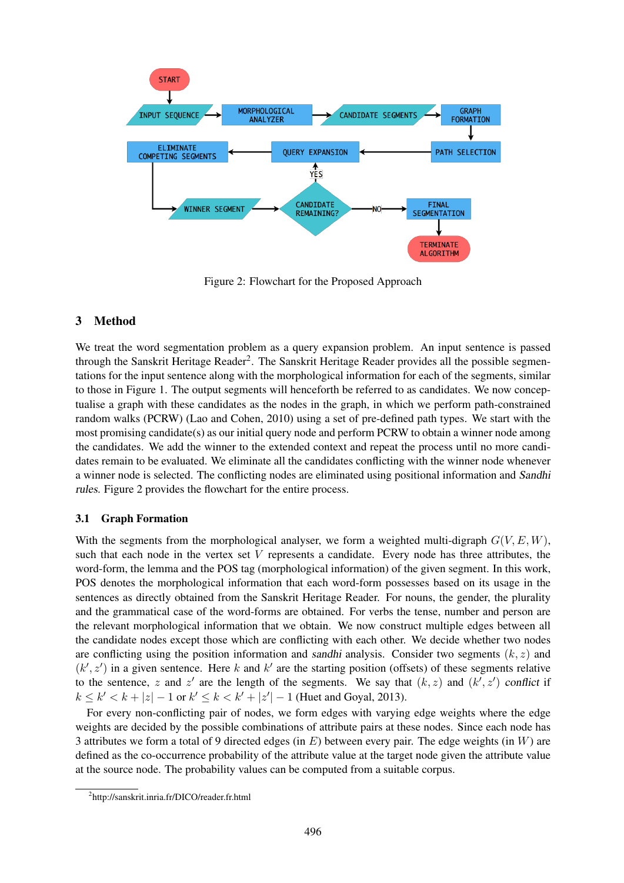

Figure 2: Flowchart for the Proposed Approach

#### 3 Method

We treat the word segmentation problem as a query expansion problem. An input sentence is passed through the Sanskrit Heritage Reader<sup>2</sup>. The Sanskrit Heritage Reader provides all the possible segmentations for the input sentence along with the morphological information for each of the segments, similar to those in Figure 1. The output segments will henceforth be referred to as candidates. We now conceptualise a graph with these candidates as the nodes in the graph, in which we perform path-constrained random walks (PCRW) (Lao and Cohen, 2010) using a set of pre-defined path types. We start with the most promising candidate(s) as our initial query node and perform PCRW to obtain a winner node among the candidates. We add the winner to the extended context and repeat the process until no more candidates remain to be evaluated. We eliminate all the candidates conflicting with the winner node whenever a winner node is selected. The conflicting nodes are eliminated using positional information and Sandhi rules. Figure 2 provides the flowchart for the entire process.

#### 3.1 Graph Formation

With the segments from the morphological analyser, we form a weighted multi-digraph  $G(V, E, W)$ , such that each node in the vertex set V represents a candidate. Every node has three attributes, the word-form, the lemma and the POS tag (morphological information) of the given segment. In this work, POS denotes the morphological information that each word-form possesses based on its usage in the sentences as directly obtained from the Sanskrit Heritage Reader. For nouns, the gender, the plurality and the grammatical case of the word-forms are obtained. For verbs the tense, number and person are the relevant morphological information that we obtain. We now construct multiple edges between all the candidate nodes except those which are conflicting with each other. We decide whether two nodes are conflicting using the position information and sandhi analysis. Consider two segments  $(k, z)$  and  $(k', z')$  in a given sentence. Here k and k' are the starting position (offsets) of these segments relative to the sentence, z and z' are the length of the segments. We say that  $(k, z)$  and  $(k', z')$  conflict if  $k \leq k' < k + |z| - 1$  or  $k' \leq k < k' + |z'| - 1$  (Huet and Goyal, 2013).

For every non-conflicting pair of nodes, we form edges with varying edge weights where the edge weights are decided by the possible combinations of attribute pairs at these nodes. Since each node has 3 attributes we form a total of 9 directed edges (in  $E$ ) between every pair. The edge weights (in W) are defined as the co-occurrence probability of the attribute value at the target node given the attribute value at the source node. The probability values can be computed from a suitable corpus.

<sup>2</sup> http://sanskrit.inria.fr/DICO/reader.fr.html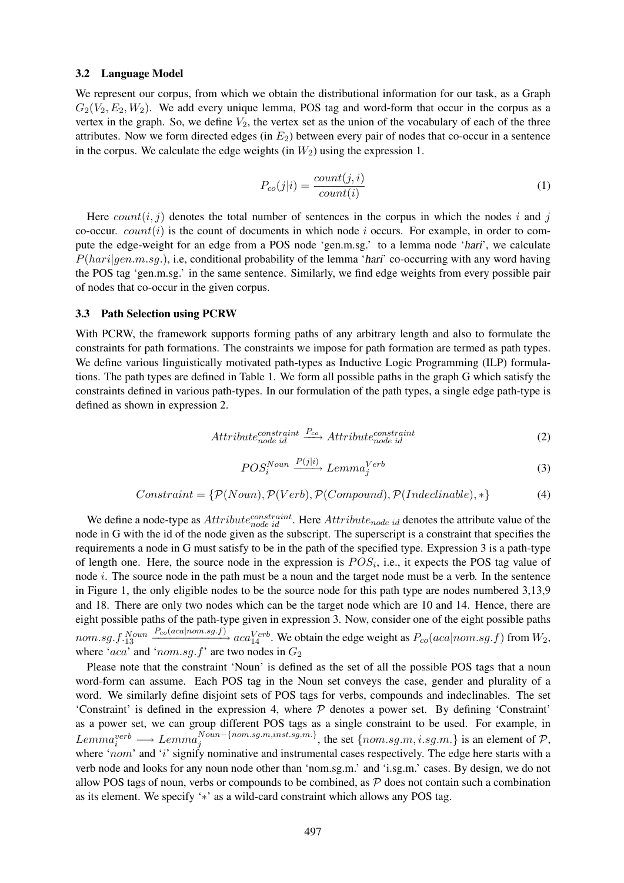#### 3.2 Language Model

We represent our corpus, from which we obtain the distributional information for our task, as a Graph  $G_2(V_2, E_2, W_2)$ . We add every unique lemma, POS tag and word-form that occur in the corpus as a vertex in the graph. So, we define  $V_2$ , the vertex set as the union of the vocabulary of each of the three attributes. Now we form directed edges (in  $E<sub>2</sub>$ ) between every pair of nodes that co-occur in a sentence in the corpus. We calculate the edge weights (in  $W_2$ ) using the expression 1.

$$
P_{co}(j|i) = \frac{count(j,i)}{count(i)}
$$
\n(1)

Here  $count(i, j)$  denotes the total number of sentences in the corpus in which the nodes i and j co-occur. *count* $(i)$  is the count of documents in which node i occurs. For example, in order to compute the edge-weight for an edge from a POS node 'gen.m.sg.' to a lemma node 'hari', we calculate  $P(hari|gen.m.sg.)$ , i.e, conditional probability of the lemma 'hari' co-occurring with any word having the POS tag 'gen.m.sg.' in the same sentence. Similarly, we find edge weights from every possible pair of nodes that co-occur in the given corpus.

#### 3.3 Path Selection using PCRW

With PCRW, the framework supports forming paths of any arbitrary length and also to formulate the constraints for path formations. The constraints we impose for path formation are termed as path types. We define various linguistically motivated path-types as Inductive Logic Programming (ILP) formulations. The path types are defined in Table 1. We form all possible paths in the graph G which satisfy the constraints defined in various path-types. In our formulation of the path types, a single edge path-type is defined as shown in expression 2.

$$
Attribute_{node\ id}^{constraint} \xrightarrow{P_{co}}Attribute_{node\ id}^{constraint} \tag{2}
$$

$$
POS_{i}^{Noun} \xrightarrow{P(j|i)} Lemma_{j}^{Verb} \tag{3}
$$

$$
Construct = \{P(Noun), P(Verb), P(Compound), P(Indeclinable), *\}
$$
 (4)

We define a node-type as  $Attribute_{node}^{constraint}$ . Here  $Attribute_{node}$  id denotes the attribute value of the node in G with the id of the node given as the subscript. The superscript is a constraint that specifies the requirements a node in G must satisfy to be in the path of the specified type. Expression 3 is a path-type of length one. Here, the source node in the expression is  $POS_i$ , i.e., it expects the POS tag value of node  $i$ . The source node in the path must be a noun and the target node must be a verb. In the sentence in Figure 1, the only eligible nodes to be the source node for this path type are nodes numbered 3,13,9 and 18. There are only two nodes which can be the target node which are 10 and 14. Hence, there are eight possible paths of the path-type given in expression 3. Now, consider one of the eight possible paths  $nom.sg.f.\substack{Noun}^{Noun}$  $\frac{P_{co}(aca|nom.sg.f)}{P_{co}(aca|nom.sg.f)}$  aca $\frac{Verb}{14}$ . We obtain the edge weight as  $P_{co}(aca|nom.sg.f)$  from  $W_2$ , where 'aca' and 'nom.sg.f' are two nodes in  $G_2$ 

Please note that the constraint 'Noun' is defined as the set of all the possible POS tags that a noun word-form can assume. Each POS tag in the Noun set conveys the case, gender and plurality of a word. We similarly define disjoint sets of POS tags for verbs, compounds and indeclinables. The set 'Constraint' is defined in the expression 4, where  $P$  denotes a power set. By defining 'Constraint' as a power set, we can group different POS tags as a single constraint to be used. For example, in  $Lemma_i^{verb} \longrightarrow Lemma_j^{Noun-{nom}.sg.m,inst.sg.m.},$  the set  ${nom}.sg.m. i.sg.m.}$  is an element of  $P$ , where 'nom' and 'i' signify nominative and instrumental cases respectively. The edge here starts with a verb node and looks for any noun node other than 'nom.sg.m.' and 'i.sg.m.' cases. By design, we do not allow POS tags of noun, verbs or compounds to be combined, as  $P$  does not contain such a combination as its element. We specify '∗' as a wild-card constraint which allows any POS tag.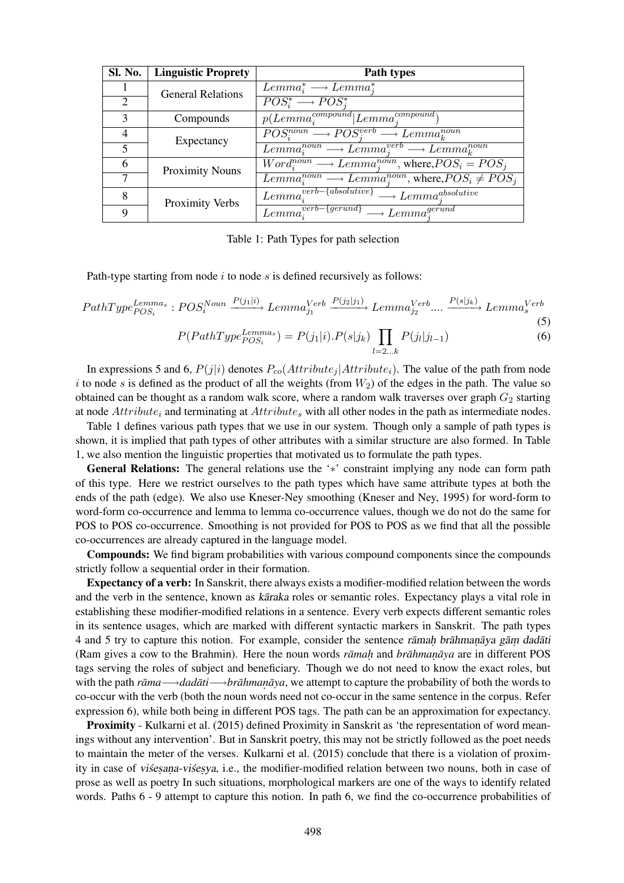| <b>Sl. No.</b>              | <b>Linguistic Proprety</b> | Path types                                                                     |  |  |
|-----------------------------|----------------------------|--------------------------------------------------------------------------------|--|--|
|                             | <b>General Relations</b>   | $Lemma_{i}^{*} \longrightarrow Lemma_{i}^{*}$                                  |  |  |
| $\mathcal{D}_{\mathcal{L}}$ |                            | $POS_{i}^{*} \longrightarrow POS_{i}^{*}$                                      |  |  |
| 3                           | Compounds                  | $p(Lemma_{i}^{compound}   Lemma_{i}^{compound})$                               |  |  |
| 4                           | Expectancy                 | $POS_i^{noun} \longrightarrow POS_i^{verb} \longrightarrow Lemma_k^{noun}$     |  |  |
| $\overline{\mathbf{5}}$     |                            | $Lemma_i^{noun} \longrightarrow Lemma_i^{verb} \longrightarrow Lemma_i^{noun}$ |  |  |
| 6                           | <b>Proximity Nouns</b>     | $Word_i^{noun} \longrightarrow Lemma_i^{noun}$ , where, $POS_i = POS_i$        |  |  |
|                             |                            | $Lemma_i^{noun} \longrightarrow Lemma_i^{noun}$ , where, $POS_i \ne POS_j$     |  |  |
| 8                           | Proximity Verbs            | $\overline{Lemma_i^{verb-\{absolute\}}}\longrightarrow Lemma_i^{absolute}}$    |  |  |
| 9                           |                            | $Lemma_i^{verb-\{gerund\}} \longrightarrow Lemma_i^{gerund}$                   |  |  |

Table 1: Path Types for path selection

Path-type starting from node  $i$  to node  $s$  is defined recursively as follows:

$$
PathType_{POS_{i}}^{Lemma_s}: POS_{i}^{Noun} \xrightarrow{P(j_1|i)} Lemma_{j_1}^{Verb} \xrightarrow{P(j_2|j_1)} Lemma_{j_2}^{Verb} \dots \xrightarrow{P(s|j_k)} Lemma_{s}^{Verb}
$$
\n
$$
(5)
$$

$$
P(PathType_{POS_{i}}^{Lemma_{s}}) = P(j_{1}|i) \cdot P(s|j_{k}) \prod_{l=2...k} P(j_{l}|j_{l-1}) \tag{6}
$$

In expressions 5 and 6,  $P(j|i)$  denotes  $P_{co}(Attribute_i |Attribute_i)$ . The value of the path from node i to node s is defined as the product of all the weights (from  $W_2$ ) of the edges in the path. The value so obtained can be thought as a random walk score, where a random walk traverses over graph  $G_2$  starting at node  $Attribute_i$  and terminating at  $Attribute_s$  with all other nodes in the path as intermediate nodes.

Table 1 defines various path types that we use in our system. Though only a sample of path types is shown, it is implied that path types of other attributes with a similar structure are also formed. In Table 1, we also mention the linguistic properties that motivated us to formulate the path types.

General Relations: The general relations use the '\*' constraint implying any node can form path of this type. Here we restrict ourselves to the path types which have same attribute types at both the ends of the path (edge). We also use Kneser-Ney smoothing (Kneser and Ney, 1995) for word-form to word-form co-occurrence and lemma to lemma co-occurrence values, though we do not do the same for POS to POS co-occurrence. Smoothing is not provided for POS to POS as we find that all the possible co-occurrences are already captured in the language model.

Compounds: We find bigram probabilities with various compound components since the compounds strictly follow a sequential order in their formation.

Expectancy of a verb: In Sanskrit, there always exists a modifier-modified relation between the words and the verb in the sentence, known as karaka roles or semantic roles. Expectancy plays a vital role in establishing these modifier-modified relations in a sentence. Every verb expects different semantic roles in its sentence usages, which are marked with different syntactic markers in Sanskrit. The path types 4 and 5 try to capture this notion. For example, consider the sentence ramah brahman aya gam dadati (Ram gives a cow to the Brahmin). Here the noun words *ramah* and *brahmanaya* are in different POS tags serving the roles of subject and beneficiary. Though we do not need to know the exact roles, but with the path *rama ¯* −→*dadati ¯* −→*brahman ¯ . aya ¯* , we attempt to capture the probability of both the words to co-occur with the verb (both the noun words need not co-occur in the same sentence in the corpus. Refer expression 6), while both being in different POS tags. The path can be an approximation for expectancy.

Proximity - Kulkarni et al. (2015) defined Proximity in Sanskrit as 'the representation of word meanings without any intervention'. But in Sanskrit poetry, this may not be strictly followed as the poet needs to maintain the meter of the verses. Kulkarni et al. (2015) conclude that there is a violation of proximity in case of visesana-visesya, i.e., the modifier-modified relation between two nouns, both in case of prose as well as poetry In such situations, morphological markers are one of the ways to identify related words. Paths  $6 - 9$  attempt to capture this notion. In path 6, we find the co-occurrence probabilities of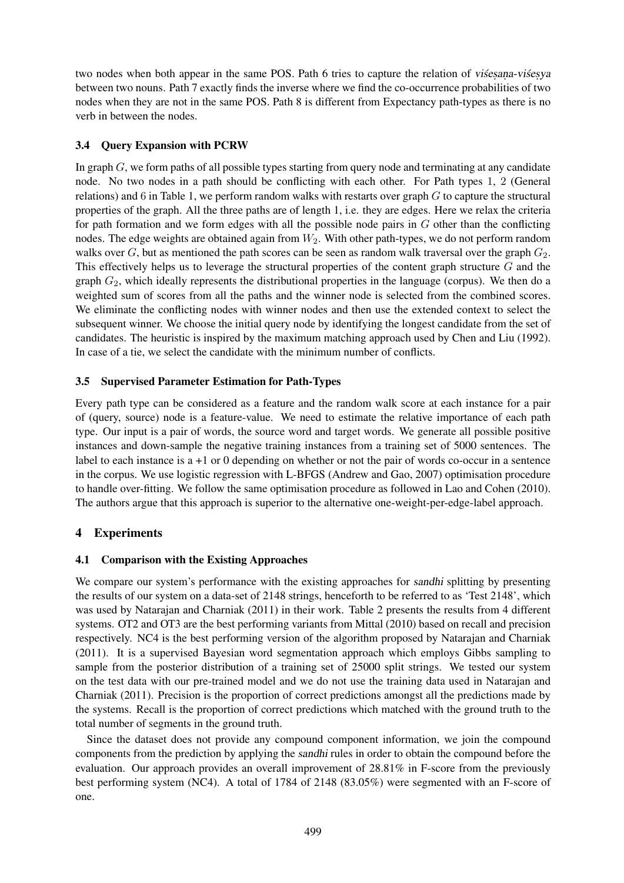two nodes when both appear in the same POS. Path 6 tries to capture the relation of visesana-visesya between two nouns. Path 7 exactly finds the inverse where we find the co-occurrence probabilities of two nodes when they are not in the same POS. Path 8 is different from Expectancy path-types as there is no verb in between the nodes.

### 3.4 Query Expansion with PCRW

In graph  $G$ , we form paths of all possible types starting from query node and terminating at any candidate node. No two nodes in a path should be conflicting with each other. For Path types 1, 2 (General relations) and 6 in Table 1, we perform random walks with restarts over graph  $G$  to capture the structural properties of the graph. All the three paths are of length 1, i.e. they are edges. Here we relax the criteria for path formation and we form edges with all the possible node pairs in  $G$  other than the conflicting nodes. The edge weights are obtained again from  $W_2$ . With other path-types, we do not perform random walks over G, but as mentioned the path scores can be seen as random walk traversal over the graph  $G_2$ . This effectively helps us to leverage the structural properties of the content graph structure G and the graph  $G_2$ , which ideally represents the distributional properties in the language (corpus). We then do a weighted sum of scores from all the paths and the winner node is selected from the combined scores. We eliminate the conflicting nodes with winner nodes and then use the extended context to select the subsequent winner. We choose the initial query node by identifying the longest candidate from the set of candidates. The heuristic is inspired by the maximum matching approach used by Chen and Liu (1992). In case of a tie, we select the candidate with the minimum number of conflicts.

### 3.5 Supervised Parameter Estimation for Path-Types

Every path type can be considered as a feature and the random walk score at each instance for a pair of (query, source) node is a feature-value. We need to estimate the relative importance of each path type. Our input is a pair of words, the source word and target words. We generate all possible positive instances and down-sample the negative training instances from a training set of 5000 sentences. The label to each instance is a +1 or 0 depending on whether or not the pair of words co-occur in a sentence in the corpus. We use logistic regression with L-BFGS (Andrew and Gao, 2007) optimisation procedure to handle over-fitting. We follow the same optimisation procedure as followed in Lao and Cohen (2010). The authors argue that this approach is superior to the alternative one-weight-per-edge-label approach.

# 4 Experiments

### 4.1 Comparison with the Existing Approaches

We compare our system's performance with the existing approaches for sandhi splitting by presenting the results of our system on a data-set of 2148 strings, henceforth to be referred to as 'Test 2148', which was used by Natarajan and Charniak (2011) in their work. Table 2 presents the results from 4 different systems. OT2 and OT3 are the best performing variants from Mittal (2010) based on recall and precision respectively. NC4 is the best performing version of the algorithm proposed by Natarajan and Charniak (2011). It is a supervised Bayesian word segmentation approach which employs Gibbs sampling to sample from the posterior distribution of a training set of 25000 split strings. We tested our system on the test data with our pre-trained model and we do not use the training data used in Natarajan and Charniak (2011). Precision is the proportion of correct predictions amongst all the predictions made by the systems. Recall is the proportion of correct predictions which matched with the ground truth to the total number of segments in the ground truth.

Since the dataset does not provide any compound component information, we join the compound components from the prediction by applying the sandhi rules in order to obtain the compound before the evaluation. Our approach provides an overall improvement of 28.81% in F-score from the previously best performing system (NC4). A total of 1784 of 2148 (83.05%) were segmented with an F-score of one.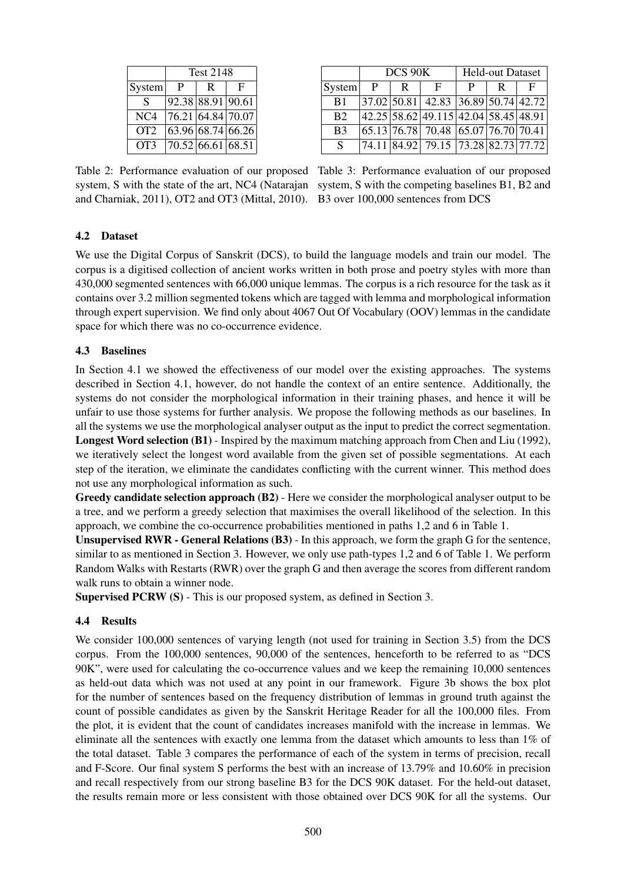|        | <b>Test 2148</b> |   |                                |  |  |
|--------|------------------|---|--------------------------------|--|--|
| System | P                | R | F                              |  |  |
| S      |                  |   | $\overline{92.38}$ 88.91 90.61 |  |  |
| NC4    |                  |   | 76.21 64.84 70.07              |  |  |
| OT2    |                  |   | 63.96 68.74 66.26              |  |  |
| OT3    |                  |   | 70.52 66.61 68.51              |  |  |

|                | DCS 90K |              |                                                                                      | <b>Held-out Dataset</b> |    |   |
|----------------|---------|--------------|--------------------------------------------------------------------------------------|-------------------------|----|---|
| System         | P       | $\mathsf{R}$ | F                                                                                    | P                       | R. | F |
| B <sub>1</sub> |         |              | 37.02 50.81 42.83 36.89 50.74 42.72                                                  |                         |    |   |
| B <sub>2</sub> |         |              | 42.25 58.62 49.115 42.04 58.45 48.91                                                 |                         |    |   |
| B <sub>3</sub> |         |              | $\left  65.13 \right  76.78$ 70.48 $\left  65.07 \right  76.70 \left  70.41 \right $ |                         |    |   |
| S              |         |              | 74.11 84.92 79.15 73.28 82.73 77.72                                                  |                         |    |   |

system, S with the state of the art, NC4 (Natarajan system, S with the competing baselines B1, B2 and and Charniak, 2011), OT2 and OT3 (Mittal, 2010). B3 over 100,000 sentences from DCS

Table 2: Performance evaluation of our proposed Table 3: Performance evaluation of our proposed

### 4.2 Dataset

We use the Digital Corpus of Sanskrit (DCS), to build the language models and train our model. The corpus is a digitised collection of ancient works written in both prose and poetry styles with more than 430,000 segmented sentences with 66,000 unique lemmas. The corpus is a rich resource for the task as it contains over 3.2 million segmented tokens which are tagged with lemma and morphological information through expert supervision. We find only about 4067 Out Of Vocabulary (OOV) lemmas in the candidate space for which there was no co-occurrence evidence.

### 4.3 Baselines

In Section 4.1 we showed the effectiveness of our model over the existing approaches. The systems described in Section 4.1, however, do not handle the context of an entire sentence. Additionally, the systems do not consider the morphological information in their training phases, and hence it will be unfair to use those systems for further analysis. We propose the following methods as our baselines. In all the systems we use the morphological analyser output as the input to predict the correct segmentation. Longest Word selection (B1) - Inspired by the maximum matching approach from Chen and Liu (1992), we iteratively select the longest word available from the given set of possible segmentations. At each step of the iteration, we eliminate the candidates conflicting with the current winner. This method does not use any morphological information as such.

Greedy candidate selection approach (B2) - Here we consider the morphological analyser output to be a tree, and we perform a greedy selection that maximises the overall likelihood of the selection. In this approach, we combine the co-occurrence probabilities mentioned in paths 1,2 and 6 in Table 1.

Unsupervised RWR - General Relations (B3) - In this approach, we form the graph G for the sentence, similar to as mentioned in Section 3. However, we only use path-types 1,2 and 6 of Table 1. We perform Random Walks with Restarts (RWR) over the graph G and then average the scores from different random walk runs to obtain a winner node.

Supervised PCRW (S) - This is our proposed system, as defined in Section 3.

### 4.4 Results

We consider 100,000 sentences of varying length (not used for training in Section 3.5) from the DCS corpus. From the 100,000 sentences, 90,000 of the sentences, henceforth to be referred to as "DCS 90K", were used for calculating the co-occurrence values and we keep the remaining 10,000 sentences as held-out data which was not used at any point in our framework. Figure 3b shows the box plot for the number of sentences based on the frequency distribution of lemmas in ground truth against the count of possible candidates as given by the Sanskrit Heritage Reader for all the 100,000 files. From the plot, it is evident that the count of candidates increases manifold with the increase in lemmas. We eliminate all the sentences with exactly one lemma from the dataset which amounts to less than 1% of the total dataset. Table 3 compares the performance of each of the system in terms of precision, recall and F-Score. Our final system S performs the best with an increase of 13.79% and 10.60% in precision and recall respectively from our strong baseline B3 for the DCS 90K dataset. For the held-out dataset, the results remain more or less consistent with those obtained over DCS 90K for all the systems. Our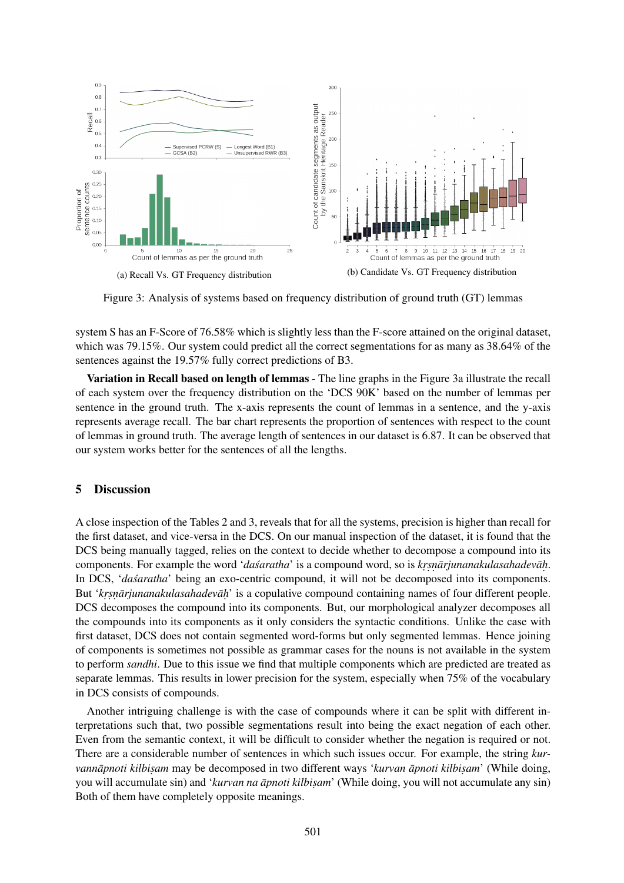

Figure 3: Analysis of systems based on frequency distribution of ground truth (GT) lemmas

system S has an F-Score of 76.58% which is slightly less than the F-score attained on the original dataset, which was 79.15%. Our system could predict all the correct segmentations for as many as 38.64% of the sentences against the 19.57% fully correct predictions of B3.

Variation in Recall based on length of lemmas - The line graphs in the Figure 3a illustrate the recall of each system over the frequency distribution on the 'DCS 90K' based on the number of lemmas per sentence in the ground truth. The x-axis represents the count of lemmas in a sentence, and the y-axis represents average recall. The bar chart represents the proportion of sentences with respect to the count of lemmas in ground truth. The average length of sentences in our dataset is 6.87. It can be observed that our system works better for the sentences of all the lengths.

### 5 Discussion

A close inspection of the Tables 2 and 3, reveals that for all the systems, precision is higher than recall for the first dataset, and vice-versa in the DCS. On our manual inspection of the dataset, it is found that the DCS being manually tagged, relies on the context to decide whether to decompose a compound into its components. For example the word '*dasaratha'* is a compound word, so is *krsnārjunanakulasahadevāh*. In DCS, *'dasaratha'* being an exo-centric compound, it will not be decomposed into its components. But 'krsnārjunanakulasahadevāḥ' is a copulative compound containing names of four different people. DCS decomposes the compound into its components. But, our morphological analyzer decomposes all the compounds into its components as it only considers the syntactic conditions. Unlike the case with first dataset, DCS does not contain segmented word-forms but only segmented lemmas. Hence joining of components is sometimes not possible as grammar cases for the nouns is not available in the system to perform *sandhi*. Due to this issue we find that multiple components which are predicted are treated as separate lemmas. This results in lower precision for the system, especially when 75% of the vocabulary in DCS consists of compounds.

Another intriguing challenge is with the case of compounds where it can be split with different interpretations such that, two possible segmentations result into being the exact negation of each other. Even from the semantic context, it will be difficult to consider whether the negation is required or not. There are a considerable number of sentences in which such issues occur. For example, the string *kurvannāpnoti kilbisam* may be decomposed in two different ways '*kurvan āpnoti kilbisam*' (While doing, you will accumulate sin) and '*kurvan na āpnoti kilbisam*' (While doing, you will not accumulate any sin) Both of them have completely opposite meanings.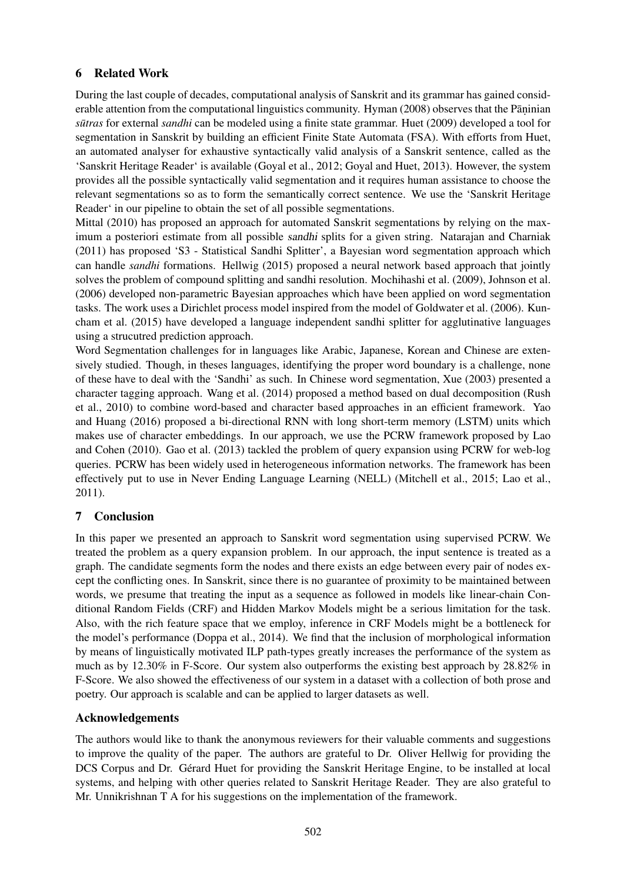# 6 Related Work

During the last couple of decades, computational analysis of Sanskrit and its grammar has gained considerable attention from the computational linguistics community. Hyman (2008) observes that the Pāṇinian *sūtras* for external *sandhi* can be modeled using a finite state grammar. Huet (2009) developed a tool for segmentation in Sanskrit by building an efficient Finite State Automata (FSA). With efforts from Huet, an automated analyser for exhaustive syntactically valid analysis of a Sanskrit sentence, called as the 'Sanskrit Heritage Reader' is available (Goyal et al., 2012; Goyal and Huet, 2013). However, the system provides all the possible syntactically valid segmentation and it requires human assistance to choose the relevant segmentations so as to form the semantically correct sentence. We use the 'Sanskrit Heritage Reader' in our pipeline to obtain the set of all possible segmentations.

Mittal (2010) has proposed an approach for automated Sanskrit segmentations by relying on the maximum a posteriori estimate from all possible sandhi splits for a given string. Natarajan and Charniak (2011) has proposed 'S3 - Statistical Sandhi Splitter', a Bayesian word segmentation approach which can handle *sandhi* formations. Hellwig (2015) proposed a neural network based approach that jointly solves the problem of compound splitting and sandhi resolution. Mochihashi et al. (2009), Johnson et al. (2006) developed non-parametric Bayesian approaches which have been applied on word segmentation tasks. The work uses a Dirichlet process model inspired from the model of Goldwater et al. (2006). Kuncham et al. (2015) have developed a language independent sandhi splitter for agglutinative languages using a strucutred prediction approach.

Word Segmentation challenges for in languages like Arabic, Japanese, Korean and Chinese are extensively studied. Though, in theses languages, identifying the proper word boundary is a challenge, none of these have to deal with the 'Sandhi' as such. In Chinese word segmentation, Xue (2003) presented a character tagging approach. Wang et al. (2014) proposed a method based on dual decomposition (Rush et al., 2010) to combine word-based and character based approaches in an efficient framework. Yao and Huang (2016) proposed a bi-directional RNN with long short-term memory (LSTM) units which makes use of character embeddings. In our approach, we use the PCRW framework proposed by Lao and Cohen (2010). Gao et al. (2013) tackled the problem of query expansion using PCRW for web-log queries. PCRW has been widely used in heterogeneous information networks. The framework has been effectively put to use in Never Ending Language Learning (NELL) (Mitchell et al., 2015; Lao et al., 2011).

# 7 Conclusion

In this paper we presented an approach to Sanskrit word segmentation using supervised PCRW. We treated the problem as a query expansion problem. In our approach, the input sentence is treated as a graph. The candidate segments form the nodes and there exists an edge between every pair of nodes except the conflicting ones. In Sanskrit, since there is no guarantee of proximity to be maintained between words, we presume that treating the input as a sequence as followed in models like linear-chain Conditional Random Fields (CRF) and Hidden Markov Models might be a serious limitation for the task. Also, with the rich feature space that we employ, inference in CRF Models might be a bottleneck for the model's performance (Doppa et al., 2014). We find that the inclusion of morphological information by means of linguistically motivated ILP path-types greatly increases the performance of the system as much as by 12.30% in F-Score. Our system also outperforms the existing best approach by 28.82% in F-Score. We also showed the effectiveness of our system in a dataset with a collection of both prose and poetry. Our approach is scalable and can be applied to larger datasets as well.

# Acknowledgements

The authors would like to thank the anonymous reviewers for their valuable comments and suggestions to improve the quality of the paper. The authors are grateful to Dr. Oliver Hellwig for providing the DCS Corpus and Dr. Gérard Huet for providing the Sanskrit Heritage Engine, to be installed at local systems, and helping with other queries related to Sanskrit Heritage Reader. They are also grateful to Mr. Unnikrishnan T A for his suggestions on the implementation of the framework.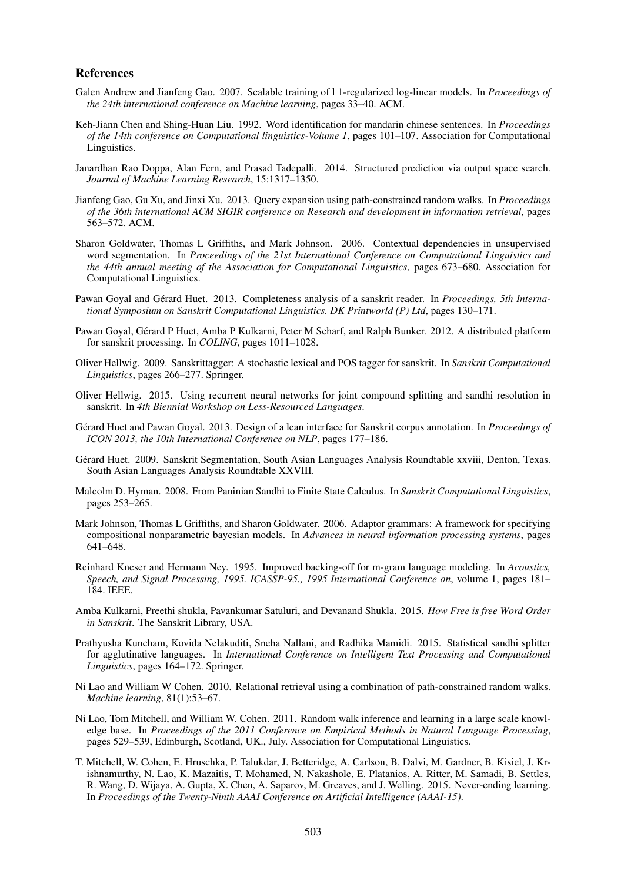#### References

- Galen Andrew and Jianfeng Gao. 2007. Scalable training of l 1-regularized log-linear models. In *Proceedings of the 24th international conference on Machine learning*, pages 33–40. ACM.
- Keh-Jiann Chen and Shing-Huan Liu. 1992. Word identification for mandarin chinese sentences. In *Proceedings of the 14th conference on Computational linguistics-Volume 1*, pages 101–107. Association for Computational Linguistics.
- Janardhan Rao Doppa, Alan Fern, and Prasad Tadepalli. 2014. Structured prediction via output space search. *Journal of Machine Learning Research*, 15:1317–1350.
- Jianfeng Gao, Gu Xu, and Jinxi Xu. 2013. Query expansion using path-constrained random walks. In *Proceedings of the 36th international ACM SIGIR conference on Research and development in information retrieval*, pages 563–572. ACM.
- Sharon Goldwater, Thomas L Griffiths, and Mark Johnson. 2006. Contextual dependencies in unsupervised word segmentation. In *Proceedings of the 21st International Conference on Computational Linguistics and the 44th annual meeting of the Association for Computational Linguistics*, pages 673–680. Association for Computational Linguistics.
- Pawan Goyal and Gérard Huet. 2013. Completeness analysis of a sanskrit reader. In *Proceedings, 5th International Symposium on Sanskrit Computational Linguistics. DK Printworld (P) Ltd*, pages 130–171.
- Pawan Goyal, Gérard P Huet, Amba P Kulkarni, Peter M Scharf, and Ralph Bunker. 2012. A distributed platform for sanskrit processing. In *COLING*, pages 1011–1028.
- Oliver Hellwig. 2009. Sanskrittagger: A stochastic lexical and POS tagger for sanskrit. In *Sanskrit Computational Linguistics*, pages 266–277. Springer.
- Oliver Hellwig. 2015. Using recurrent neural networks for joint compound splitting and sandhi resolution in sanskrit. In *4th Biennial Workshop on Less-Resourced Languages*.
- Gérard Huet and Pawan Goyal. 2013. Design of a lean interface for Sanskrit corpus annotation. In *Proceedings of ICON 2013, the 10th International Conference on NLP*, pages 177–186.
- Gérard Huet. 2009. Sanskrit Segmentation, South Asian Languages Analysis Roundtable xxviii, Denton, Texas. South Asian Languages Analysis Roundtable XXVIII.
- Malcolm D. Hyman. 2008. From Paninian Sandhi to Finite State Calculus. In *Sanskrit Computational Linguistics*, pages 253–265.
- Mark Johnson, Thomas L Griffiths, and Sharon Goldwater. 2006. Adaptor grammars: A framework for specifying compositional nonparametric bayesian models. In *Advances in neural information processing systems*, pages 641–648.
- Reinhard Kneser and Hermann Ney. 1995. Improved backing-off for m-gram language modeling. In *Acoustics, Speech, and Signal Processing, 1995. ICASSP-95., 1995 International Conference on*, volume 1, pages 181– 184. IEEE.
- Amba Kulkarni, Preethi shukla, Pavankumar Satuluri, and Devanand Shukla. 2015. *How Free is free Word Order in Sanskrit*. The Sanskrit Library, USA.
- Prathyusha Kuncham, Kovida Nelakuditi, Sneha Nallani, and Radhika Mamidi. 2015. Statistical sandhi splitter for agglutinative languages. In *International Conference on Intelligent Text Processing and Computational Linguistics*, pages 164–172. Springer.
- Ni Lao and William W Cohen. 2010. Relational retrieval using a combination of path-constrained random walks. *Machine learning*, 81(1):53–67.
- Ni Lao, Tom Mitchell, and William W. Cohen. 2011. Random walk inference and learning in a large scale knowledge base. In *Proceedings of the 2011 Conference on Empirical Methods in Natural Language Processing*, pages 529–539, Edinburgh, Scotland, UK., July. Association for Computational Linguistics.
- T. Mitchell, W. Cohen, E. Hruschka, P. Talukdar, J. Betteridge, A. Carlson, B. Dalvi, M. Gardner, B. Kisiel, J. Krishnamurthy, N. Lao, K. Mazaitis, T. Mohamed, N. Nakashole, E. Platanios, A. Ritter, M. Samadi, B. Settles, R. Wang, D. Wijaya, A. Gupta, X. Chen, A. Saparov, M. Greaves, and J. Welling. 2015. Never-ending learning. In *Proceedings of the Twenty-Ninth AAAI Conference on Artificial Intelligence (AAAI-15)*.